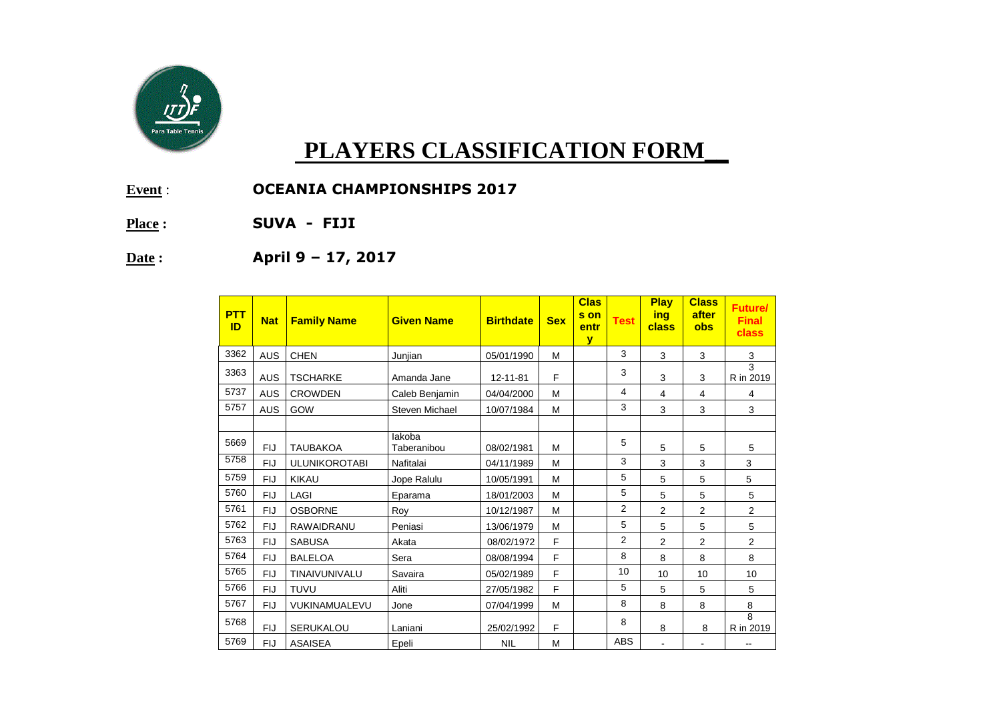

## **PLAYERS CLASSIFICATION FORM\_\_**

**Event** : **OCEANIA CHAMPIONSHIPS 2017** 

**Place : SUVA - FIJI**

**Date : April 9 – 17, 2017**

| <b>PTT</b><br>ID | <b>Nat</b> | <b>Family Name</b>   | <b>Given Name</b>     | <b>Birthdate</b> | <b>Sex</b> | <b>Clas</b><br>s on<br>entr<br>$\mathbf{y}$ | <b>Test</b> | <b>Play</b><br>ing<br>class | <b>Class</b><br>after<br>obs | <b>Future/</b><br><b>Final</b><br>class |
|------------------|------------|----------------------|-----------------------|------------------|------------|---------------------------------------------|-------------|-----------------------------|------------------------------|-----------------------------------------|
| 3362             | <b>AUS</b> | <b>CHEN</b>          | Junjian               | 05/01/1990       | M          |                                             | 3           | 3                           | 3                            | 3                                       |
| 3363             | <b>AUS</b> | <b>TSCHARKE</b>      | Amanda Jane           | 12-11-81         | F          |                                             | 3           | 3                           | 3                            | $\overline{3}$<br>R in 2019             |
| 5737             | <b>AUS</b> | <b>CROWDEN</b>       | Caleb Benjamin        | 04/04/2000       | M          |                                             | 4           | 4                           | 4                            | 4                                       |
| 5757             | <b>AUS</b> | GOW                  | <b>Steven Michael</b> | 10/07/1984       | M          |                                             | 3           | 3                           | 3                            | 3                                       |
|                  |            |                      |                       |                  |            |                                             |             |                             |                              |                                         |
| 5669             | <b>FIJ</b> | <b>TAUBAKOA</b>      | lakoba<br>Taberanibou | 08/02/1981       | M          |                                             | 5           | 5                           | 5                            | 5                                       |
| 5758             | <b>FIJ</b> | <b>ULUNIKOROTABI</b> | Nafitalai             | 04/11/1989       | M          |                                             | 3           | 3                           | 3                            | 3                                       |
| 5759             | <b>FIJ</b> | <b>KIKAU</b>         | Jope Ralulu           | 10/05/1991       | M          |                                             | 5           | 5                           | 5                            | 5                                       |
| 5760             | <b>FIJ</b> | LAGI                 | Eparama               | 18/01/2003       | M          |                                             | 5           | 5                           | 5                            | 5                                       |
| 5761             | <b>FIJ</b> | <b>OSBORNE</b>       | Roy                   | 10/12/1987       | M          |                                             | 2           | $\overline{2}$              | 2                            | 2                                       |
| 5762             | <b>FIJ</b> | <b>RAWAIDRANU</b>    | Peniasi               | 13/06/1979       | M          |                                             | 5           | 5                           | 5                            | 5                                       |
| 5763             | <b>FIJ</b> | <b>SABUSA</b>        | Akata                 | 08/02/1972       | F          |                                             | 2           | $\overline{2}$              | 2                            | $\overline{2}$                          |
| 5764             | <b>FIJ</b> | <b>BALELOA</b>       | Sera                  | 08/08/1994       | F          |                                             | 8           | 8                           | 8                            | 8                                       |
| 5765             | <b>FIJ</b> | TINAIVUNIVALU        | Savaira               | 05/02/1989       | F          |                                             | 10          | 10                          | 10                           | 10                                      |
| 5766             | <b>FIJ</b> | <b>TUVU</b>          | Aliti                 | 27/05/1982       | F          |                                             | 5           | 5                           | 5                            | 5                                       |
| 5767             | <b>FIJ</b> | VUKINAMUALEVU        | Jone                  | 07/04/1999       | M          |                                             | 8           | 8                           | 8                            | 8                                       |
| 5768             | <b>FIJ</b> | <b>SERUKALOU</b>     | Laniani               | 25/02/1992       | F          |                                             | 8           | 8                           | 8                            | $\overline{8}$<br>R in 2019             |
| 5769             | <b>FIJ</b> | <b>ASAISEA</b>       | Epeli                 | <b>NIL</b>       | M          |                                             | <b>ABS</b>  | $\overline{\phantom{0}}$    |                              |                                         |